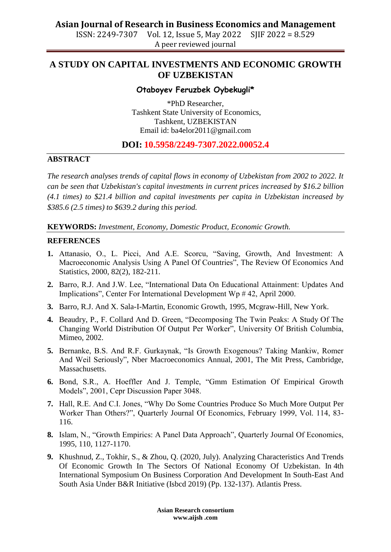## **Asian Journal of Research in Business Economics and Management**

ISSN: 2249-7307 Vol. 12, Issue 5, May 2022 SJIF 2022 = 8.529 A peer reviewed journal

# **A STUDY ON CAPITAL INVESTMENTS AND ECONOMIC GROWTH OF UZBEKISTAN**

### **Otaboyev Feruzbek Oybekugli\***

\*PhD Researcher, Tashkent State University of Economics, Tashkent, UZBEKISTAN Email id: [ba4elor2011@gmail.com](mailto:ba4elor2011@gmail.com)

## **DOI: 10.5958/2249-7307.2022.00052.4**

#### **ABSTRACT**

*The research analyses trends of capital flows in economy of Uzbekistan from 2002 to 2022. It can be seen that Uzbekistan's capital investments in current prices increased by \$16.2 billion (4.1 times) to \$21.4 billion and capital investments per capita in Uzbekistan increased by \$385.6 (2.5 times) to \$639.2 during this period.* 

**KEYWORDS:** *Investment, Economy, Domestic Product, Economic Growth.*

### **REFERENCES**

- **1.** Attanasio, O., L. Picci, And A.E. Scorcu, "Saving, Growth, And Investment: A Macroeconomic Analysis Using A Panel Of Countries", The Review Of Economics And Statistics, 2000, 82(2), 182-211.
- **2.** Barro, R.J. And J.W. Lee, "International Data On Educational Attainment: Updates And Implications", Center For International Development Wp # 42, April 2000.
- **3.** Barro, R.J. And X. Sala-I-Martin, Economic Growth, 1995, Mcgraw-Hill, New York.
- **4.** Beaudry, P., F. Collard And D. Green, "Decomposing The Twin Peaks: A Study Of The Changing World Distribution Of Output Per Worker", University Of British Columbia, Mimeo, 2002.
- **5.** Bernanke, B.S. And R.F. Gurkaynak, "Is Growth Exogenous? Taking Mankiw, Romer And Weil Seriously", Nber Macroeconomics Annual, 2001, The Mit Press, Cambridge, Massachusetts.
- **6.** Bond, S.R., A. Hoeffler And J. Temple, "Gmm Estimation Of Empirical Growth Models", 2001, Cepr Discussion Paper 3048.
- **7.** Hall, R.E. And C.I. Jones, "Why Do Some Countries Produce So Much More Output Per Worker Than Others?", Quarterly Journal Of Economics, February 1999, Vol. 114, 83- 116.
- **8.** Islam, N., "Growth Empirics: A Panel Data Approach", Quarterly Journal Of Economics, 1995, 110, 1127-1170.
- **9.** Khushnud, Z., Tokhir, S., & Zhou, Q. (2020, July). Analyzing Characteristics And Trends Of Economic Growth In The Sectors Of National Economy Of Uzbekistan. In 4th International Symposium On Business Corporation And Development In South-East And South Asia Under B&R Initiative (Isbcd 2019) (Pp. 132-137). Atlantis Press.

**Asian Research consortium www.aijsh .com**